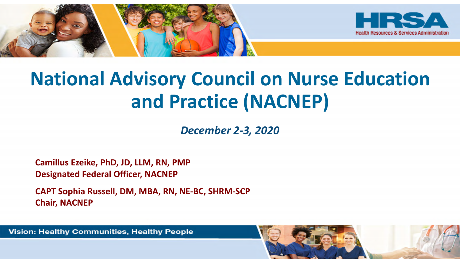

# **National Advisory Council on Nurse Education and Practice (NACNEP)**

*December 2-3, 2020* 

**Camillus Ezeike, PhD, JD, LLM, RN, PMP Designated Federal Officer, NACNEP**

**CAPT Sophia Russell, DM, MBA, RN, NE-BC, SHRM-SCP Chair, NACNEP**

Vision: Healthy Communities, Healthy People

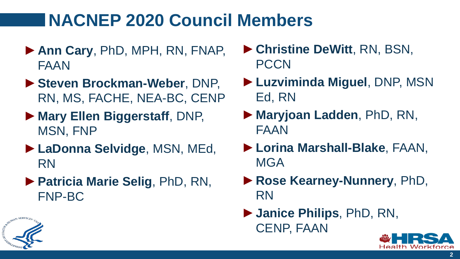# **NACNEP 2020 Council Members**

- ►**Ann Cary**, PhD, MPH, RN, FNAP, FAAN
- ►**Steven Brockman-Weber**, DNP, RN, MS, FACHE, NEA-BC, CENP
- ►**Mary Ellen Biggerstaff**, DNP, MSN, FNP
- ►**LaDonna Selvidge**, MSN, MEd, RN
- ►**Patricia Marie Selig**, PhD, RN, FNP-BC
- ►**Christine DeWitt**, RN, BSN, **PCCN**
- ►**Luzviminda Miguel**, DNP, MSN Ed, RN
- ►**Maryjoan Ladden**, PhD, RN, FAAN
- ►**Lorina Marshall-Blake**, FAAN, **MGA**
- ►**Rose Kearney-Nunnery**, PhD, RN
- ►**Janice Philips**, PhD, RN, CENP, FAAN



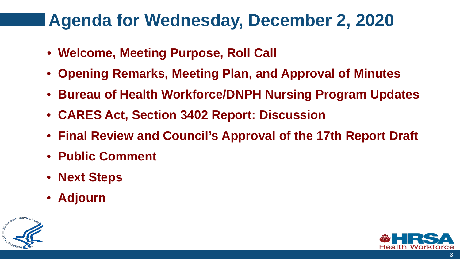## **Agenda for Wednesday, December 2, 2020**

- **Welcome, Meeting Purpose, Roll Call**
- **Opening Remarks, Meeting Plan, and Approval of Minutes**
- **Bureau of Health Workforce/DNPH Nursing Program Updates**
- **CARES Act, Section 3402 Report: Discussion**
- **Final Review and Council's Approval of the 17th Report Draft**
- **Public Comment**
- **Next Steps**
- **Adjourn**



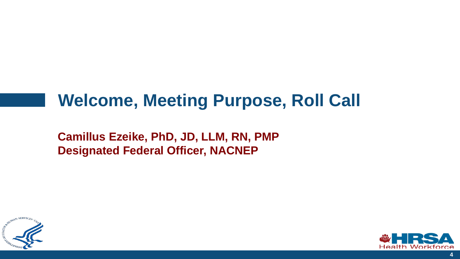# **Welcome, Meeting Purpose, Roll Call**

**Camillus Ezeike, PhD, JD, LLM, RN, PMP Designated Federal Officer, NACNEP**



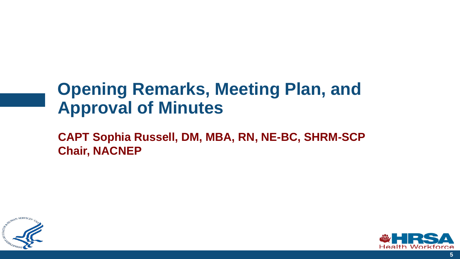# **Opening Remarks, Meeting Plan, and Approval of Minutes**



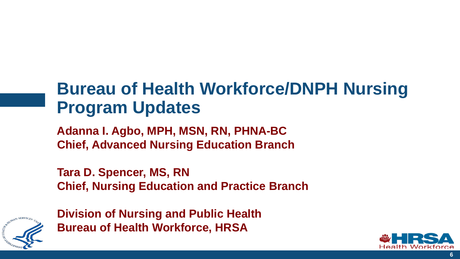# **Bureau of Health Workforce/DNPH Nursing Program Updates**

**Adanna I. Agbo, MPH, MSN, RN, PHNA-BC Chief, Advanced Nursing Education Branch** 

**Tara D. Spencer, MS, RN Chief, Nursing Education and Practice Branch**



**Division of Nursing and Public Health Bureau of Health Workforce, HRSA** 

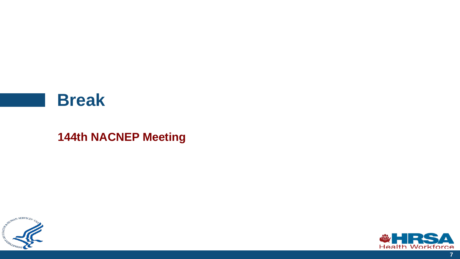#### **Break**

#### **144th NACNEP Meeting**





**7**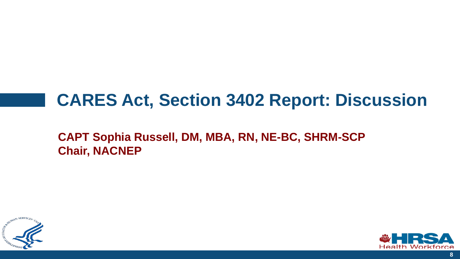## **CARES Act, Section 3402 Report: Discussion**



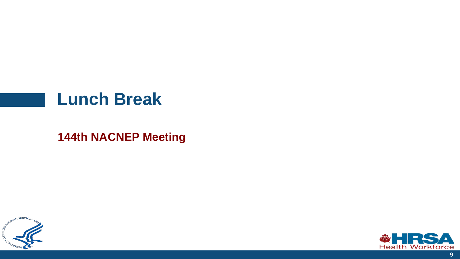#### **Lunch Break**



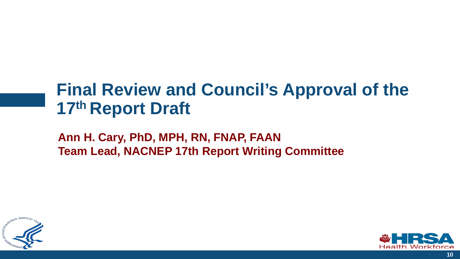# **Final Review and Council's Approval of the 17th Report Draft**

**Ann H. Cary, PhD, MPH, RN, FNAP, FAAN Team Lead, NACNEP 17th Report Writing Committee** 



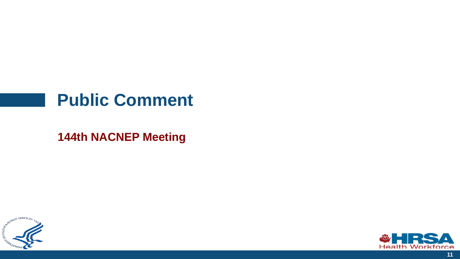#### **Public Comment**



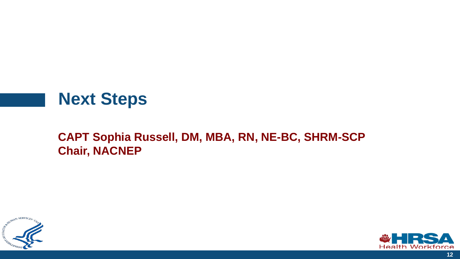### **Next Steps**



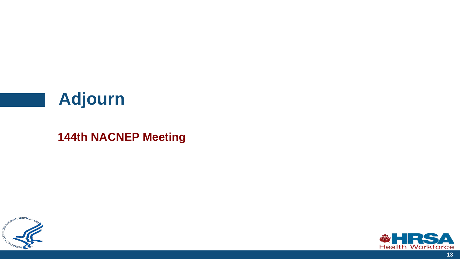## **Adjourn**



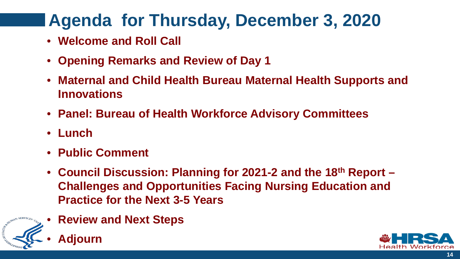# **Agenda for Thursday, December 3, 2020**

- **Welcome and Roll Call**
- **Opening Remarks and Review of Day 1**
- **Maternal and Child Health Bureau Maternal Health Supports and Innovations**
- **Panel: Bureau of Health Workforce Advisory Committees**
- **Lunch**
- **Public Comment**
- **Council Discussion: Planning for 2021-2 and the 18th Report – Challenges and Opportunities Facing Nursing Education and Practice for the Next 3-5 Years**
- **Review and Next Steps**



• **Adjourn**

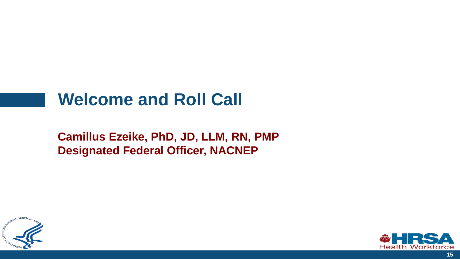### **Welcome and Roll Call**

**Camillus Ezeike, PhD, JD, LLM, RN, PMP Designated Federal Officer, NACNEP**



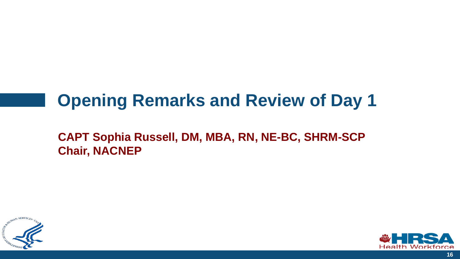# **Opening Remarks and Review of Day 1**



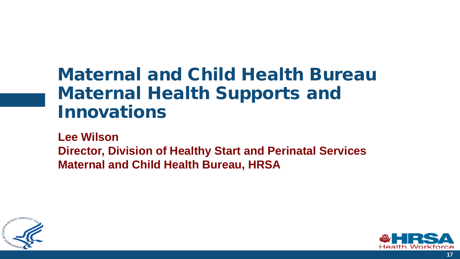# Maternal and Child Health Bureau Maternal Health Supports and Innovations

**Lee Wilson Director, Division of Healthy Start and Perinatal Services Maternal and Child Health Bureau, HRSA**



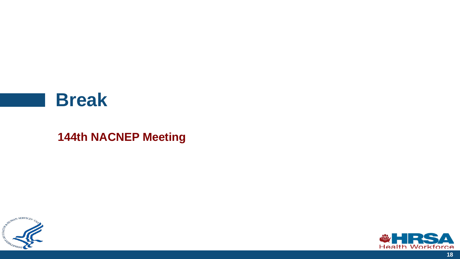#### **Break**



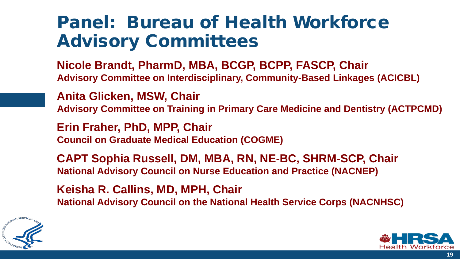# Panel: Bureau of Health Workforce Advisory Committees

**Nicole Brandt, PharmD, MBA, BCGP, BCPP, FASCP, Chair Advisory Committee on Interdisciplinary, Community-Based Linkages (ACICBL)**

**Anita Glicken, MSW, Chair Advisory Committee on Training in Primary Care Medicine and Dentistry (ACTPCMD)**

**Erin Fraher, PhD, MPP, Chair Council on Graduate Medical Education (COGME)**

**CAPT Sophia Russell, DM, MBA, RN, NE-BC, SHRM-SCP, Chair National Advisory Council on Nurse Education and Practice (NACNEP)** 

**Keisha R. Callins, MD, MPH, Chair National Advisory Council on the National Health Service Corps (NACNHSC)** 



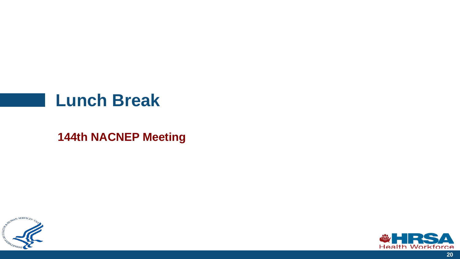#### **Lunch Break**



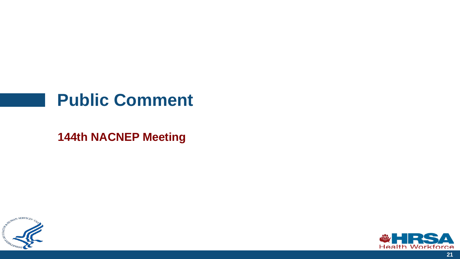#### **Public Comment**



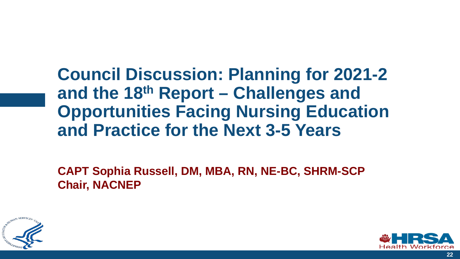**Council Discussion: Planning for 2021-2 and the 18th Report – Challenges and Opportunities Facing Nursing Education and Practice for the Next 3-5 Years**



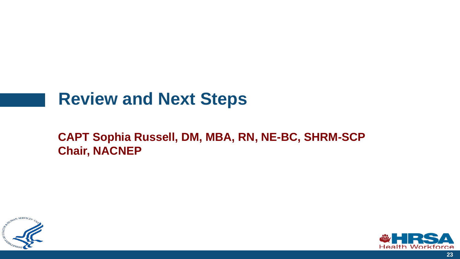### **Review and Next Steps**



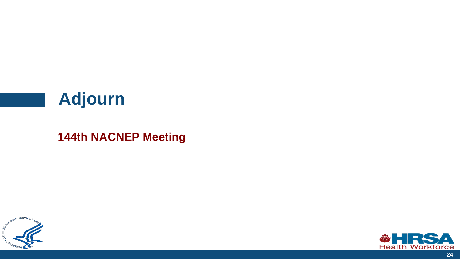## **Adjourn**



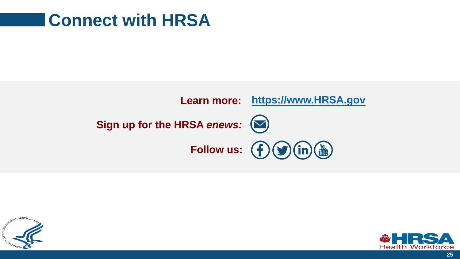### **Connect with HRSA**